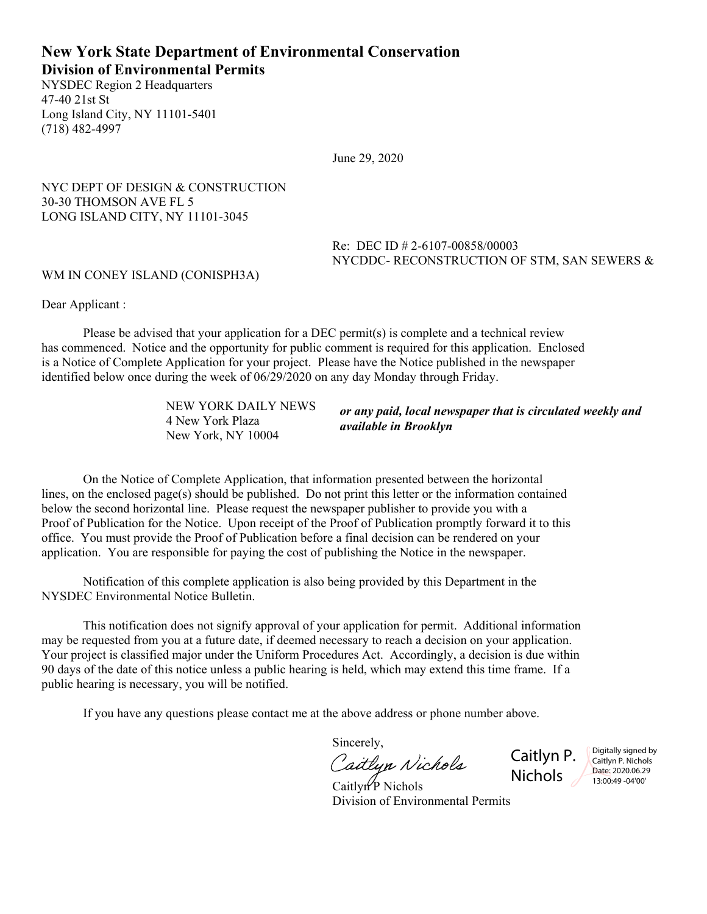# **New York State Department of Environmental Conservation Division of Environmental Permits**

NYSDEC Region 2 Headquarters 47-40 21st St Long Island City, NY 11101-5401 (718) 482-4997

June 29, 2020

NYC DEPT OF DESIGN & CONSTRUCTION 30-30 THOMSON AVE FL 5 LONG ISLAND CITY, NY 11101-3045

> Re: DEC ID # 2-6107-00858/00003 NYCDDC- RECONSTRUCTION OF STM, SAN SEWERS &

#### WM IN CONEY ISLAND (CONISPH3A)

Dear Applicant :

Please be advised that your application for a DEC permit(s) is complete and a technical review has commenced. Notice and the opportunity for public comment is required for this application. Enclosed is a Notice of Complete Application for your project. Please have the Notice published in the newspaper identified below once during the week of 06/29/2020 on any day Monday through Friday.

> NEW YORK DAILY NEWS 4 New York Plaza New York, NY 10004

*or any paid, local newspaper that is circulated weekly and available in Brooklyn*

On the Notice of Complete Application, that information presented between the horizontal lines, on the enclosed page(s) should be published. Do not print this letter or the information contained below the second horizontal line. Please request the newspaper publisher to provide you with a Proof of Publication for the Notice. Upon receipt of the Proof of Publication promptly forward it to this office. You must provide the Proof of Publication before a final decision can be rendered on your application. You are responsible for paying the cost of publishing the Notice in the newspaper.

Notification of this complete application is also being provided by this Department in the NYSDEC Environmental Notice Bulletin.

This notification does not signify approval of your application for permit. Additional information may be requested from you at a future date, if deemed necessary to reach a decision on your application. Your project is classified major under the Uniform Procedures Act. Accordingly, a decision is due within 90 days of the date of this notice unless a public hearing is held, which may extend this time frame. If a public hearing is necessary, you will be notified.

If you have any questions please contact me at the above address or phone number above.

Sincerely,

Caitlyn Nichols

Caitlyn P. Nichols 2

Digitally signed by Caitlyn P. Nichols Date: 2020.06.29 13:00:49 -04'00'

 $CaitlvnP$  Nichols Division of Environmental Permits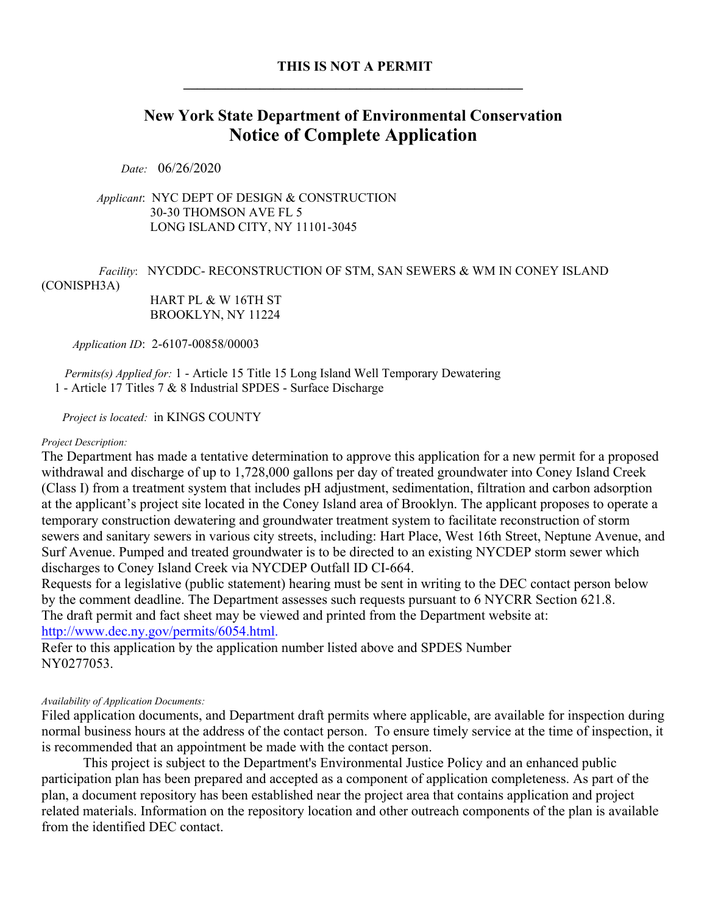# **THIS IS NOT A PERMIT \_\_\_\_\_\_\_\_\_\_\_\_\_\_\_\_\_\_\_\_\_\_\_\_\_\_\_\_\_\_\_\_\_\_\_\_\_\_\_\_\_\_\_\_\_\_\_\_\_**

# **New York State Department of Environmental Conservation Notice of Complete Application**

*Date:* 06/26/2020

 *Applicant*: NYC DEPT OF DESIGN & CONSTRUCTION 30-30 THOMSON AVE FL 5 LONG ISLAND CITY, NY 11101-3045

# *Facility*:NYCDDC- RECONSTRUCTION OF STM, SAN SEWERS & WM IN CONEY ISLAND (CONISPH3A)

 HART PL & W 16TH ST BROOKLYN, NY 11224

*Application ID*: 2-6107-00858/00003

 *Permits(s) Applied for:* 1 - Article 15 Title 15 Long Island Well Temporary Dewatering 1 - Article 17 Titles 7 & 8 Industrial SPDES - Surface Discharge

*Project is located:* in KINGS COUNTY

#### *Project Description:*

The Department has made a tentative determination to approve this application for a new permit for a proposed withdrawal and discharge of up to 1,728,000 gallons per day of treated groundwater into Coney Island Creek (Class I) from a treatment system that includes pH adjustment, sedimentation, filtration and carbon adsorption at the applicant's project site located in the Coney Island area of Brooklyn. The applicant proposes to operate a temporary construction dewatering and groundwater treatment system to facilitate reconstruction of storm sewers and sanitary sewers in various city streets, including: Hart Place, West 16th Street, Neptune Avenue, and Surf Avenue. Pumped and treated groundwater is to be directed to an existing NYCDEP storm sewer which discharges to Coney Island Creek via NYCDEP Outfall ID CI-664.

Requests for a legislative (public statement) hearing must be sent in writing to the DEC contact person below by the comment deadline. The Department assesses such requests pursuant to 6 NYCRR Section 621.8. The draft permit and fact sheet may be viewed and printed from the Department website at: http://www.dec.ny.gov/permits/6054.html.

Refer to this application by the application number listed above and SPDES Number NY0277053.

#### *Availability of Application Documents:*

Filed application documents, and Department draft permits where applicable, are available for inspection during normal business hours at the address of the contact person. To ensure timely service at the time of inspection, it is recommended that an appointment be made with the contact person.

This project is subject to the Department's Environmental Justice Policy and an enhanced public participation plan has been prepared and accepted as a component of application completeness. As part of the plan, a document repository has been established near the project area that contains application and project related materials. Information on the repository location and other outreach components of the plan is available from the identified DEC contact.